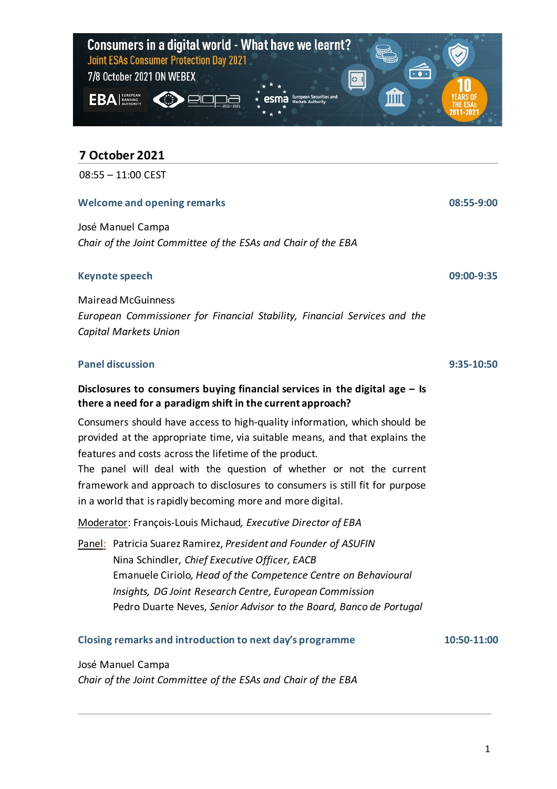

# **7 October 2021**

08:55 – 11:00 CEST

#### **Welcome and opening remarks**

José Manuel Campa *Chair of the Joint Committee of the ESAs and Chair of the EBA*

#### **Keynote speech**

Mairead McGuinness *European Commissioner for Financial Stability, Financial Services and the Capital Markets Union*

## **Panel discussion**

# **Disclosures to consumers buying financial services in the digital age – Is there a need for a paradigm shift in the current approach?**

Consumers should have access to high-quality information, which should be provided at the appropriate time, via suitable means, and that explains the features and costs across the lifetime of the product.

The panel will deal with the question of whether or not the current framework and approach to disclosures to consumers is still fit for purpose in a world that is rapidly becoming more and more digital.

Moderator: François-Louis Michaud*, Executive Director of EBA*

Panel: Patricia Suarez Ramirez, *President and Founder of ASUFIN* Nina Schindler*, Chief Executive Officer, EACB* Emanuele Ciriolo*, Head of the Competence Centre on Behavioural Insights, DG Joint Research Centre, European Commission* Pedro Duarte Neves, *Senior Advisor to the Board, Banco de Portugal*

**Closing remarks and introduction to next day's programme**

**10:50-11:00**

**08:55-9:00**

**09:00-9:35**

**9:35-10:50**

# José Manuel Campa

*Chair of the Joint Committee of the ESAs and Chair of the EBA*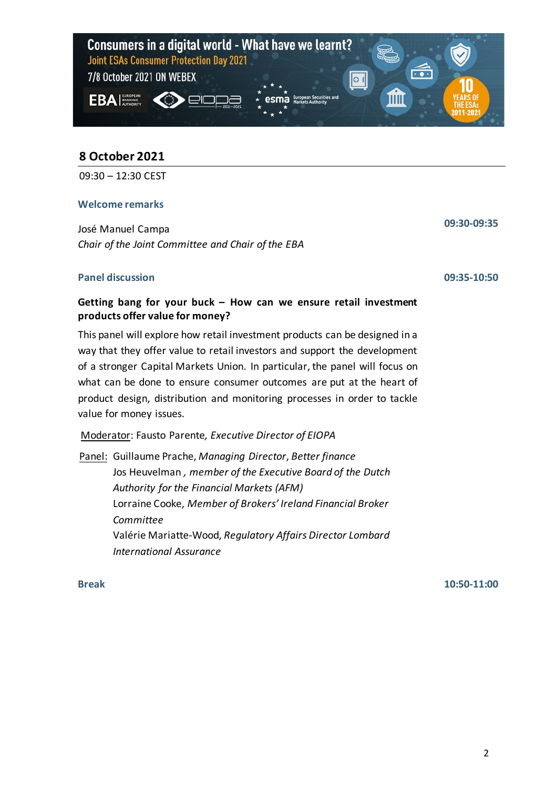

# **8 October 2021**

09:30 – 12:30 CEST

#### **Welcome remarks**

José Manuel Campa *Chair of the Joint Committee and Chair of the EBA*

#### **Panel discussion**

**09:30-09:35**

### **09:35-10:50**

# **Getting bang for your buck – How can we ensure retail investment products offer value for money?**

This panel will explore how retail investment products can be designed in a way that they offer value to retail investors and support the development of a stronger Capital Markets Union. In particular, the panel will focus on what can be done to ensure consumer outcomes are put at the heart of product design, distribution and monitoring processes in order to tackle value for money issues.

Moderator: Fausto Parente*, Executive Director of EIOPA*

Panel: Guillaume Prache, *Managing Director*, *Better finance* Jos Heuvelman *, member of the Executive Board of the Dutch Authority for the Financial Markets (AFM)* Lorraine Cooke, *Member of Brokers' Ireland Financial Broker Committee* Valérie Mariatte-Wood, *Regulatory Affairs Director Lombard International Assurance*

**Break 10:50-11:00**